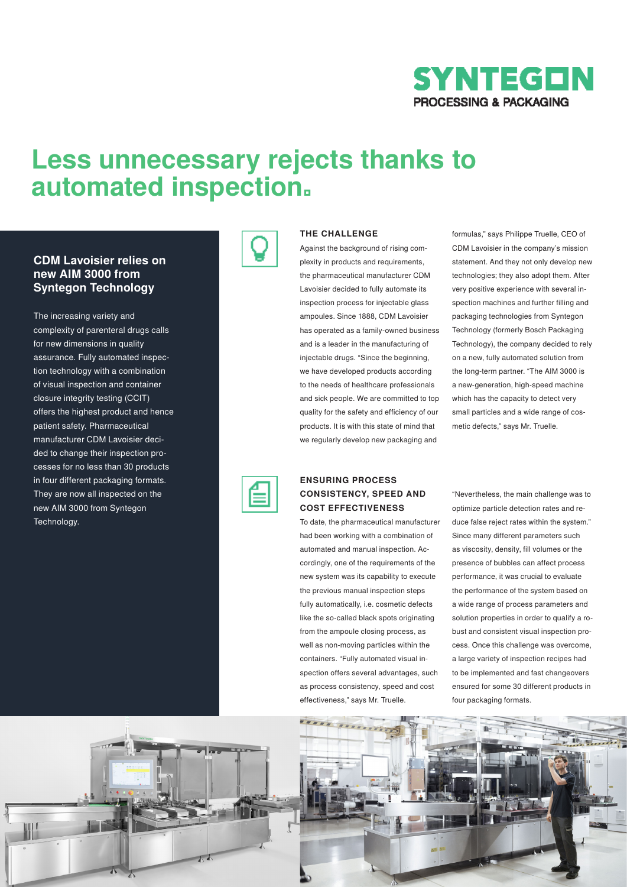

# **Less unnecessary rejects thanks to automated inspection.**

# **CDM Lavoisier relies on new AIM 3000 from Syntegon Technology**

The increasing variety and complexity of parenteral drugs calls for new dimensions in quality assurance. Fully automated inspection technology with a combination of visual inspection and container closure integrity testing (CCIT) offers the highest product and hence patient safety. Pharmaceutical manufacturer CDM Lavoisier decided to change their inspection processes for no less than 30 products in four different packaging formats. They are now all inspected on the new AIM 3000 from Syntegon Technology.



#### **THE CHALLENGE**

Against the background of rising complexity in products and requirements, the pharmaceutical manufacturer CDM Lavoisier decided to fully automate its inspection process for injectable glass ampoules. Since 1888, CDM Lavoisier has operated as a family-owned business and is a leader in the manufacturing of injectable drugs. "Since the beginning, we have developed products according to the needs of healthcare professionals and sick people. We are committed to top quality for the safety and efficiency of our products. It is with this state of mind that we regularly develop new packaging and

formulas," says Philippe Truelle, CEO of CDM Lavoisier in the company's mission statement. And they not only develop new technologies; they also adopt them. After very positive experience with several inspection machines and further filling and packaging technologies from Syntegon Technology (formerly Bosch Packaging Technology), the company decided to rely on a new, fully automated solution from the long-term partner. "The AIM 3000 is a new-generation, high-speed machine which has the capacity to detect very small particles and a wide range of cosmetic defects," says Mr. Truelle.



#### **ENSURING PROCESS CONSISTENCY, SPEED AND COST EFFECTIVENESS**

To date, the pharmaceutical manufacturer had been working with a combination of automated and manual inspection. Accordingly, one of the requirements of the new system was its capability to execute the previous manual inspection steps fully automatically, i.e. cosmetic defects like the so-called black spots originating from the ampoule closing process, as well as non-moving particles within the containers. "Fully automated visual inspection offers several advantages, such as process consistency, speed and cost effectiveness," says Mr. Truelle.

"Nevertheless, the main challenge was to optimize particle detection rates and reduce false reject rates within the system." Since many different parameters such as viscosity, density, fill volumes or the presence of bubbles can affect process performance, it was crucial to evaluate the performance of the system based on a wide range of process parameters and solution properties in order to qualify a robust and consistent visual inspection process. Once this challenge was overcome, a large variety of inspection recipes had to be implemented and fast changeovers ensured for some 30 different products in four packaging formats.